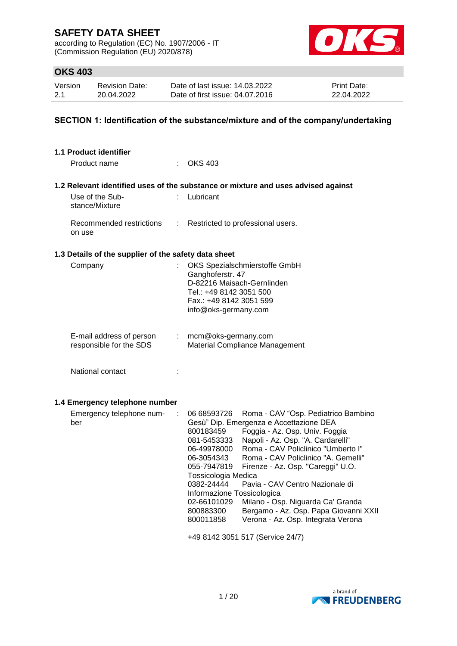according to Regulation (EC) No. 1907/2006 - IT (Commission Regulation (EU) 2020/878)



## **OKS 403**

| Version | Revision Date: | Date of last issue: 14.03.2022  | <b>Print Date:</b> |
|---------|----------------|---------------------------------|--------------------|
| 2.1     | 20.04.2022     | Date of first issue: 04.07.2016 | 22.04.2022         |

## **SECTION 1: Identification of the substance/mixture and of the company/undertaking**

| <b>1.1 Product identifier</b>                        |                              |                                                                                                                                                                                                                                                                                                                                                                                                                                                                                                                                                                                                                                                                       |
|------------------------------------------------------|------------------------------|-----------------------------------------------------------------------------------------------------------------------------------------------------------------------------------------------------------------------------------------------------------------------------------------------------------------------------------------------------------------------------------------------------------------------------------------------------------------------------------------------------------------------------------------------------------------------------------------------------------------------------------------------------------------------|
| Product name                                         |                              | <b>OKS 403</b>                                                                                                                                                                                                                                                                                                                                                                                                                                                                                                                                                                                                                                                        |
|                                                      |                              | 1.2 Relevant identified uses of the substance or mixture and uses advised against                                                                                                                                                                                                                                                                                                                                                                                                                                                                                                                                                                                     |
| Use of the Sub-<br>stance/Mixture                    |                              | Lubricant                                                                                                                                                                                                                                                                                                                                                                                                                                                                                                                                                                                                                                                             |
| Recommended restrictions<br>on use                   | t.                           | Restricted to professional users.                                                                                                                                                                                                                                                                                                                                                                                                                                                                                                                                                                                                                                     |
| 1.3 Details of the supplier of the safety data sheet |                              |                                                                                                                                                                                                                                                                                                                                                                                                                                                                                                                                                                                                                                                                       |
| Company                                              |                              | OKS Spezialschmierstoffe GmbH<br>Ganghoferstr. 47<br>D-82216 Maisach-Gernlinden<br>Tel.: +49 8142 3051 500<br>Fax.: +49 8142 3051 599<br>info@oks-germany.com                                                                                                                                                                                                                                                                                                                                                                                                                                                                                                         |
| E-mail address of person<br>responsible for the SDS  | $\mathcal{L}_{\mathrm{max}}$ | mcm@oks-germany.com<br><b>Material Compliance Management</b>                                                                                                                                                                                                                                                                                                                                                                                                                                                                                                                                                                                                          |
| National contact                                     | t                            |                                                                                                                                                                                                                                                                                                                                                                                                                                                                                                                                                                                                                                                                       |
| 1.4 Emergency telephone number                       |                              |                                                                                                                                                                                                                                                                                                                                                                                                                                                                                                                                                                                                                                                                       |
| Emergency telephone num-<br>ber                      | ÷                            | 06 68593726<br>Roma - CAV "Osp. Pediatrico Bambino<br>Gesù" Dip. Emergenza e Accettazione DEA<br>Foggia - Az. Osp. Univ. Foggia<br>800183459<br>Napoli - Az. Osp. "A. Cardarelli"<br>081-5453333<br>Roma - CAV Policlinico "Umberto I"<br>06-49978000<br>Roma - CAV Policlinico "A. Gemelli"<br>06-3054343<br>055-7947819<br>Firenze - Az. Osp. "Careggi" U.O.<br>Tossicologia Medica<br>0382-24444<br>Pavia - CAV Centro Nazionale di<br>Informazione Tossicologica<br>02-66101029<br>Milano - Osp. Niguarda Ca' Granda<br>Bergamo - Az. Osp. Papa Giovanni XXII<br>800883300<br>Verona - Az. Osp. Integrata Verona<br>800011858<br>+49 8142 3051 517 (Service 24/7) |
|                                                      |                              |                                                                                                                                                                                                                                                                                                                                                                                                                                                                                                                                                                                                                                                                       |

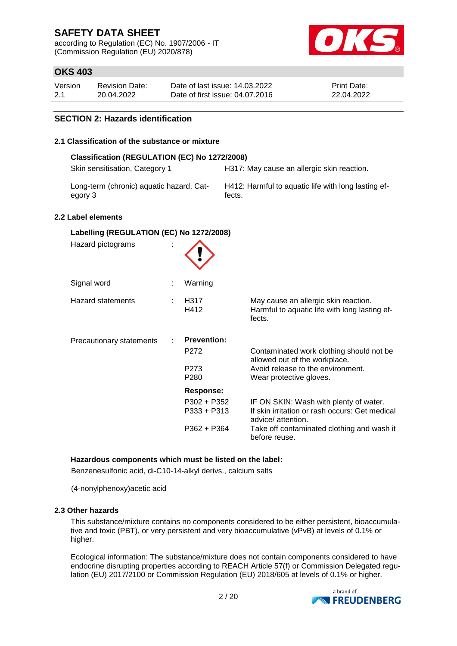according to Regulation (EC) No. 1907/2006 - IT (Commission Regulation (EU) 2020/878)



## **OKS 403**

| Version | Revision Date: | Date of last issue: 14.03.2022  | <b>Print Date:</b> |
|---------|----------------|---------------------------------|--------------------|
| 2.1     | 20.04.2022     | Date of first issue: 04.07.2016 | 22.04.2022         |

### **SECTION 2: Hazards identification**

#### **2.1 Classification of the substance or mixture**

| Classification (REGULATION (EC) No 1272/2008)<br>Skin sensitisation, Category 1 |                                      | H317: May cause an allergic skin reaction.                                                                    |
|---------------------------------------------------------------------------------|--------------------------------------|---------------------------------------------------------------------------------------------------------------|
|                                                                                 |                                      |                                                                                                               |
| Long-term (chronic) aquatic hazard, Cat-<br>egory 3                             |                                      | H412: Harmful to aquatic life with long lasting ef-<br>fects.                                                 |
| 2.2 Label elements                                                              |                                      |                                                                                                               |
| Labelling (REGULATION (EC) No 1272/2008)<br>Hazard pictograms                   |                                      |                                                                                                               |
| Signal word                                                                     | Warning                              |                                                                                                               |
| <b>Hazard statements</b>                                                        | H317<br>H412                         | May cause an allergic skin reaction.<br>Harmful to aquatic life with long lasting ef-<br>fects.               |
| Precautionary statements                                                        | <b>Prevention:</b>                   |                                                                                                               |
|                                                                                 | P272                                 | Contaminated work clothing should not be<br>allowed out of the workplace.                                     |
|                                                                                 | P <sub>273</sub><br>P <sub>280</sub> | Avoid release to the environment.<br>Wear protective gloves.                                                  |
|                                                                                 | <b>Response:</b>                     |                                                                                                               |
|                                                                                 | $P302 + P352$<br>$P333 + P313$       | IF ON SKIN: Wash with plenty of water.<br>If skin irritation or rash occurs: Get medical<br>advice/attention. |
|                                                                                 | P362 + P364                          | Take off contaminated clothing and wash it<br>before reuse.                                                   |

#### **Hazardous components which must be listed on the label:**

Benzenesulfonic acid, di-C10-14-alkyl derivs., calcium salts

(4-nonylphenoxy)acetic acid

#### **2.3 Other hazards**

This substance/mixture contains no components considered to be either persistent, bioaccumulative and toxic (PBT), or very persistent and very bioaccumulative (vPvB) at levels of 0.1% or higher.

Ecological information: The substance/mixture does not contain components considered to have endocrine disrupting properties according to REACH Article 57(f) or Commission Delegated regulation (EU) 2017/2100 or Commission Regulation (EU) 2018/605 at levels of 0.1% or higher.

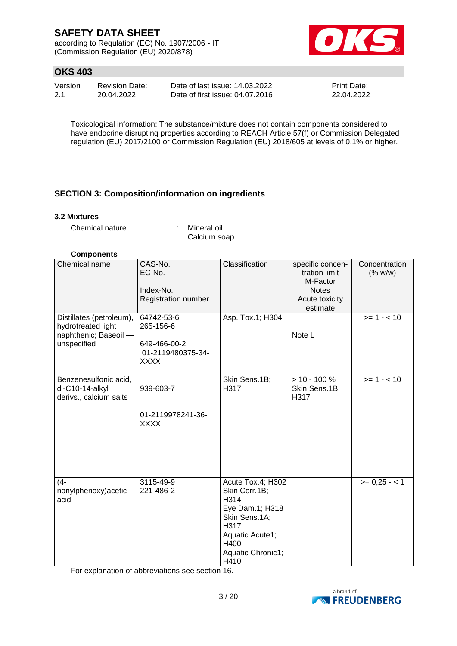according to Regulation (EC) No. 1907/2006 - IT (Commission Regulation (EU) 2020/878)



## **OKS 403**

| Version | Revision Date: | Date of last issue: 14.03.2022  | <b>Print Date:</b> |
|---------|----------------|---------------------------------|--------------------|
| 2.1     | 20.04.2022     | Date of first issue: 04.07.2016 | 22.04.2022         |

Toxicological information: The substance/mixture does not contain components considered to have endocrine disrupting properties according to REACH Article 57(f) or Commission Delegated regulation (EU) 2017/2100 or Commission Regulation (EU) 2018/605 at levels of 0.1% or higher.

## **SECTION 3: Composition/information on ingredients**

#### **3.2 Mixtures**

Chemical nature : Mineral oil.

Calcium soap

### **Components**

| Chemical name                                                                          | CAS-No.<br>EC-No.<br>Index-No.<br>Registration number                       | Classification                                                                                                                                 | specific concen-<br>tration limit<br>M-Factor<br><b>Notes</b><br>Acute toxicity<br>estimate | Concentration<br>(% w/w) |
|----------------------------------------------------------------------------------------|-----------------------------------------------------------------------------|------------------------------------------------------------------------------------------------------------------------------------------------|---------------------------------------------------------------------------------------------|--------------------------|
| Distillates (petroleum),<br>hydrotreated light<br>naphthenic; Baseoil -<br>unspecified | 64742-53-6<br>265-156-6<br>649-466-00-2<br>01-2119480375-34-<br><b>XXXX</b> | Asp. Tox.1; H304                                                                                                                               | Note L                                                                                      | $>= 1 - < 10$            |
| Benzenesulfonic acid,<br>di-C10-14-alkyl<br>derivs., calcium salts                     | 939-603-7<br>01-2119978241-36-<br><b>XXXX</b>                               | Skin Sens.1B;<br>H317                                                                                                                          | $> 10 - 100 \%$<br>Skin Sens.1B,<br>H317                                                    | $>= 1 - < 10$            |
| $(4 -$<br>nonylphenoxy) acetic<br>acid                                                 | 3115-49-9<br>221-486-2                                                      | Acute Tox.4; H302<br>Skin Corr.1B;<br>H314<br>Eye Dam.1; H318<br>Skin Sens.1A;<br>H317<br>Aquatic Acute1;<br>H400<br>Aquatic Chronic1;<br>H410 |                                                                                             | $>= 0,25 - 1$            |

For explanation of abbreviations see section 16.

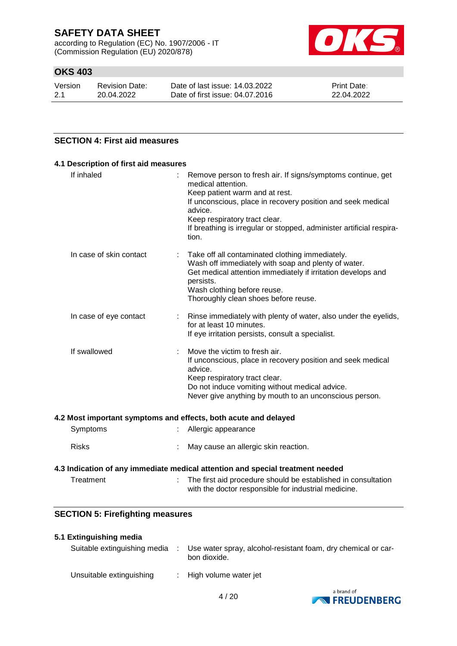according to Regulation (EC) No. 1907/2006 - IT (Commission Regulation (EU) 2020/878)



## **OKS 403**

| Version | <b>Revision Date:</b> |
|---------|-----------------------|
| 2.1     | 20.04.2022            |

Date of last issue: 14.03.2022 Date of first issue: 04.07.2016 Print Date: 22.04.2022

## **SECTION 4: First aid measures**

| 4.1 Description of first aid measures |                                                                                                                                                                                                                                                                                                                 |
|---------------------------------------|-----------------------------------------------------------------------------------------------------------------------------------------------------------------------------------------------------------------------------------------------------------------------------------------------------------------|
| If inhaled                            | Remove person to fresh air. If signs/symptoms continue, get<br>medical attention.<br>Keep patient warm and at rest.<br>If unconscious, place in recovery position and seek medical<br>advice.<br>Keep respiratory tract clear.<br>If breathing is irregular or stopped, administer artificial respira-<br>tion. |
| In case of skin contact               | Take off all contaminated clothing immediately.<br>Wash off immediately with soap and plenty of water.<br>Get medical attention immediately if irritation develops and<br>persists.<br>Wash clothing before reuse.<br>Thoroughly clean shoes before reuse.                                                      |
| In case of eye contact                | Rinse immediately with plenty of water, also under the eyelids,<br>for at least 10 minutes.<br>If eye irritation persists, consult a specialist.                                                                                                                                                                |
| If swallowed                          | Move the victim to fresh air.<br>If unconscious, place in recovery position and seek medical<br>advice.<br>Keep respiratory tract clear.<br>Do not induce vomiting without medical advice.<br>Never give anything by mouth to an unconscious person.                                                            |
|                                       | 4.2 Most important symptoms and effects, both acute and delayed                                                                                                                                                                                                                                                 |
| Symptoms                              | Allergic appearance                                                                                                                                                                                                                                                                                             |
| <b>Risks</b>                          | May cause an allergic skin reaction.                                                                                                                                                                                                                                                                            |

# **4.3 Indication of any immediate medical attention and special treatment needed**

| Treatment | The first aid procedure should be established in consultation |
|-----------|---------------------------------------------------------------|
|           | with the doctor responsible for industrial medicine.          |

## **SECTION 5: Firefighting measures**

### **5.1 Extinguishing media**

| Suitable extinguishing media | : Use water spray, alcohol-resistant foam, dry chemical or car-<br>bon dioxide. |
|------------------------------|---------------------------------------------------------------------------------|
| Unsuitable extinguishing     | : High volume water jet                                                         |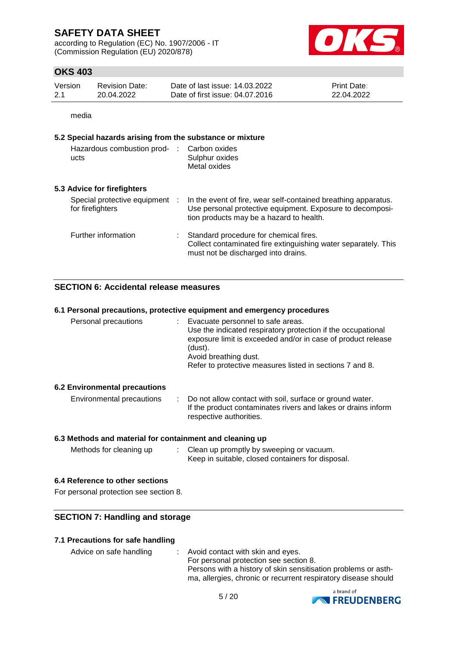according to Regulation (EC) No. 1907/2006 - IT (Commission Regulation (EU) 2020/878)



## **OKS 403**

| Version | Revision Date: | Date of last issue: 14.03.2022  | <b>Print Date:</b> |
|---------|----------------|---------------------------------|--------------------|
| 2.1     | 20.04.2022     | Date of first issue: 04.07.2016 | 22.04.2022         |

media

#### **5.2 Special hazards arising from the substance or mixture**

| Hazardous combustion prod-<br>ucts               |           | Carbon oxides<br>Sulphur oxides<br>Metal oxides                                                                                                                         |
|--------------------------------------------------|-----------|-------------------------------------------------------------------------------------------------------------------------------------------------------------------------|
| 5.3 Advice for firefighters                      |           |                                                                                                                                                                         |
| Special protective equipment<br>for firefighters | $\cdot$ : | In the event of fire, wear self-contained breathing apparatus.<br>Use personal protective equipment. Exposure to decomposi-<br>tion products may be a hazard to health. |
| Further information                              |           | Standard procedure for chemical fires.<br>Collect contaminated fire extinguishing water separately. This<br>must not be discharged into drains.                         |

### **SECTION 6: Accidental release measures**

#### **6.1 Personal precautions, protective equipment and emergency procedures** Personal precautions : Evacuate personnel to safe areas. Use the indicated respiratory protection if the occupational exposure limit is exceeded and/or in case of product release (dust). Avoid breathing dust. Refer to protective measures listed in sections 7 and 8.

### **6.2 Environmental precautions**

| Environmental precautions | Do not allow contact with soil, surface or ground water.<br>If the product contaminates rivers and lakes or drains inform |
|---------------------------|---------------------------------------------------------------------------------------------------------------------------|
|                           | respective authorities.                                                                                                   |

### **6.3 Methods and material for containment and cleaning up**

| Methods for cleaning up | Clean up promptly by sweeping or vacuum.          |
|-------------------------|---------------------------------------------------|
|                         | Keep in suitable, closed containers for disposal. |

### **6.4 Reference to other sections**

For personal protection see section 8.

### **SECTION 7: Handling and storage**

#### **7.1 Precautions for safe handling**

| Advice on safe handling | Avoid contact with skin and eyes.                              |
|-------------------------|----------------------------------------------------------------|
|                         | For personal protection see section 8.                         |
|                         | Persons with a history of skin sensitisation problems or asth- |
|                         | ma, allergies, chronic or recurrent respiratory disease should |

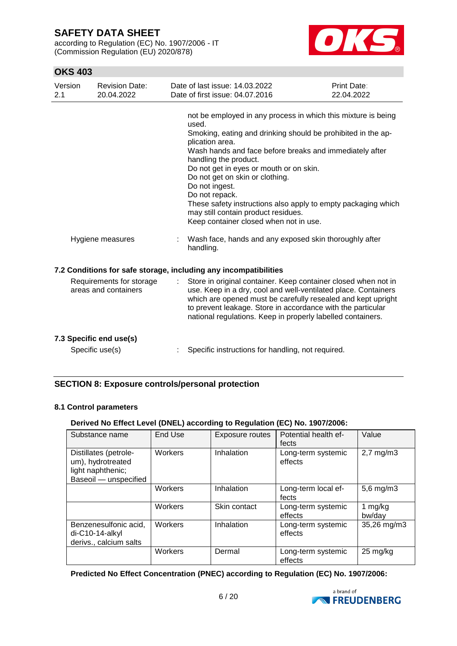according to Regulation (EC) No. 1907/2006 - IT (Commission Regulation (EU) 2020/878)



## **OKS 403**

| Version<br>2.1                                   | <b>Revision Date:</b><br>20.04.2022 | Date of last issue: 14.03.2022<br>Date of first issue: 04.07.2016                                                                                                                                                                                                                                                                                                                                                                                                                                                                                                           | Print Date:<br>22.04.2022 |
|--------------------------------------------------|-------------------------------------|-----------------------------------------------------------------------------------------------------------------------------------------------------------------------------------------------------------------------------------------------------------------------------------------------------------------------------------------------------------------------------------------------------------------------------------------------------------------------------------------------------------------------------------------------------------------------------|---------------------------|
| Hygiene measures                                 |                                     | not be employed in any process in which this mixture is being<br>used.<br>Smoking, eating and drinking should be prohibited in the ap-<br>plication area.<br>Wash hands and face before breaks and immediately after<br>handling the product.<br>Do not get in eyes or mouth or on skin.<br>Do not get on skin or clothing.<br>Do not ingest.<br>Do not repack.<br>These safety instructions also apply to empty packaging which<br>may still contain product residues.<br>Keep container closed when not in use.<br>Wash face, hands and any exposed skin thoroughly after |                           |
|                                                  |                                     | handling.                                                                                                                                                                                                                                                                                                                                                                                                                                                                                                                                                                   |                           |
|                                                  |                                     | 7.2 Conditions for safe storage, including any incompatibilities                                                                                                                                                                                                                                                                                                                                                                                                                                                                                                            |                           |
| Requirements for storage<br>areas and containers |                                     | Store in original container. Keep container closed when not in<br>use. Keep in a dry, cool and well-ventilated place. Containers<br>which are opened must be carefully resealed and kept upright<br>to prevent leakage. Store in accordance with the particular<br>national regulations. Keep in properly labelled containers.                                                                                                                                                                                                                                              |                           |
|                                                  | 7.3 Specific end use(s)             |                                                                                                                                                                                                                                                                                                                                                                                                                                                                                                                                                                             |                           |
|                                                  | Specific use(s)                     | Specific instructions for handling, not required.                                                                                                                                                                                                                                                                                                                                                                                                                                                                                                                           |                           |

## **SECTION 8: Exposure controls/personal protection**

### **8.1 Control parameters**

### **Derived No Effect Level (DNEL) according to Regulation (EC) No. 1907/2006:**

| Substance name                                                                           | End Use | Exposure routes | Potential health ef-<br>fects | Value                 |
|------------------------------------------------------------------------------------------|---------|-----------------|-------------------------------|-----------------------|
| Distillates (petrole-<br>um), hydrotreated<br>light naphthenic;<br>Baseoil - unspecified | Workers | Inhalation      | Long-term systemic<br>effects | $2,7$ mg/m $3$        |
|                                                                                          | Workers | Inhalation      | Long-term local ef-<br>fects  | 5,6 mg/m3             |
|                                                                                          | Workers | Skin contact    | Long-term systemic<br>effects | 1 mg/kg<br>bw/day     |
| Benzenesulfonic acid,<br>di-C10-14-alkyl<br>derivs., calcium salts                       | Workers | Inhalation      | Long-term systemic<br>effects | 35,26 mg/m3           |
|                                                                                          | Workers | Dermal          | Long-term systemic<br>effects | $25 \,\mathrm{mg/kg}$ |

### **Predicted No Effect Concentration (PNEC) according to Regulation (EC) No. 1907/2006:**

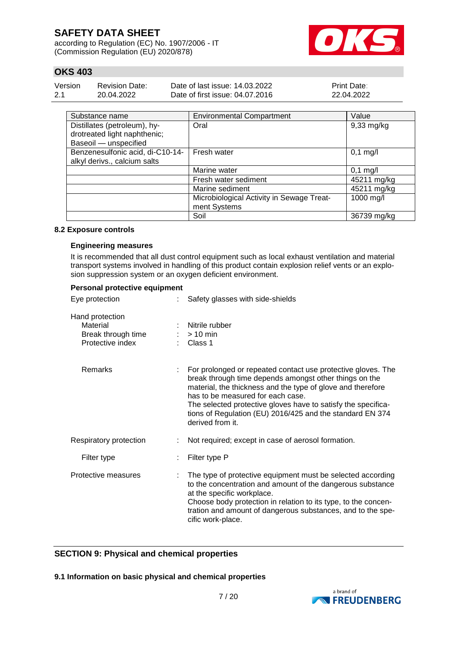according to Regulation (EC) No. 1907/2006 - IT (Commission Regulation (EU) 2020/878)



## **OKS 403**

| Version | <b>Revision Date:</b> | Date of last issue: 14.03.2022  | <b>Print Date:</b> |
|---------|-----------------------|---------------------------------|--------------------|
| 2.1     | 20.04.2022            | Date of first issue: 04.07.2016 | 22.04.2022         |

| Substance name                                                                        | <b>Environmental Compartment</b>                          | Value        |
|---------------------------------------------------------------------------------------|-----------------------------------------------------------|--------------|
| Distillates (petroleum), hy-<br>drotreated light naphthenic;<br>Baseoil - unspecified | Oral                                                      | $9,33$ mg/kg |
| Benzenesulfonic acid, di-C10-14-<br>alkyl derivs., calcium salts                      | Fresh water                                               | $0,1$ mg/l   |
|                                                                                       | Marine water                                              | $0,1$ mg/l   |
|                                                                                       | Fresh water sediment                                      | 45211 mg/kg  |
|                                                                                       | Marine sediment                                           | 45211 mg/kg  |
|                                                                                       | Microbiological Activity in Sewage Treat-<br>ment Systems | 1000 mg/l    |
|                                                                                       | Soil                                                      | 36739 mg/kg  |

#### **8.2 Exposure controls**

#### **Engineering measures**

It is recommended that all dust control equipment such as local exhaust ventilation and material transport systems involved in handling of this product contain explosion relief vents or an explosion suppression system or an oxygen deficient environment.

| Personal protective equipment                                         |                                                                                                                                                                                                                                                                                                                                                                              |
|-----------------------------------------------------------------------|------------------------------------------------------------------------------------------------------------------------------------------------------------------------------------------------------------------------------------------------------------------------------------------------------------------------------------------------------------------------------|
| Eye protection                                                        | Safety glasses with side-shields                                                                                                                                                                                                                                                                                                                                             |
| Hand protection<br>Material<br>Break through time<br>Protective index | Nitrile rubber<br>$>10$ min<br>Class 1                                                                                                                                                                                                                                                                                                                                       |
| <b>Remarks</b>                                                        | For prolonged or repeated contact use protective gloves. The<br>break through time depends amongst other things on the<br>material, the thickness and the type of glove and therefore<br>has to be measured for each case.<br>The selected protective gloves have to satisfy the specifica-<br>tions of Regulation (EU) 2016/425 and the standard EN 374<br>derived from it. |
| Respiratory protection                                                | Not required; except in case of aerosol formation.                                                                                                                                                                                                                                                                                                                           |
| Filter type                                                           | Filter type P                                                                                                                                                                                                                                                                                                                                                                |
| Protective measures                                                   | The type of protective equipment must be selected according<br>to the concentration and amount of the dangerous substance<br>at the specific workplace.<br>Choose body protection in relation to its type, to the concen-<br>tration and amount of dangerous substances, and to the spe-<br>cific work-place.                                                                |

### **SECTION 9: Physical and chemical properties**

**9.1 Information on basic physical and chemical properties**

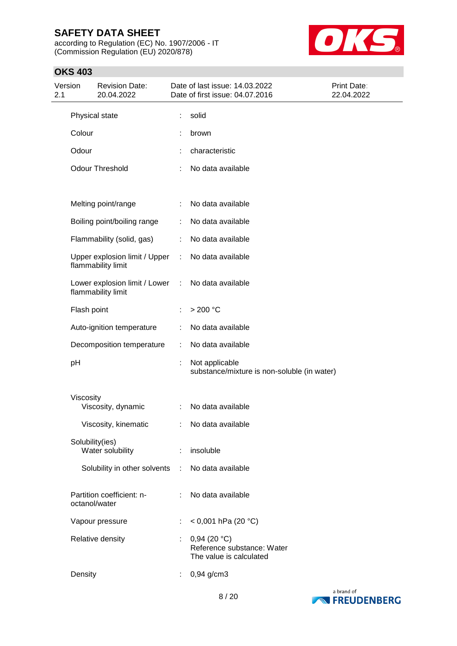according to Regulation (EC) No. 1907/2006 - IT (Commission Regulation (EU) 2020/878)



| 2.1 | Version     | <b>Revision Date:</b><br>20.04.2022                   |                             | Date of last issue: 14.03.2022<br>Date of first issue: 04.07.2016    | Print Date:<br>22.04.2022 |
|-----|-------------|-------------------------------------------------------|-----------------------------|----------------------------------------------------------------------|---------------------------|
|     |             | Physical state                                        | ÷                           | solid                                                                |                           |
|     | Colour      |                                                       |                             | brown                                                                |                           |
|     | Odour       |                                                       |                             | characteristic                                                       |                           |
|     |             | <b>Odour Threshold</b>                                |                             | No data available                                                    |                           |
|     |             | Melting point/range                                   | ÷.                          | No data available                                                    |                           |
|     |             | Boiling point/boiling range                           | ÷                           | No data available                                                    |                           |
|     |             | Flammability (solid, gas)                             |                             | : No data available                                                  |                           |
|     |             | Upper explosion limit / Upper<br>flammability limit   |                             | : No data available                                                  |                           |
|     |             | Lower explosion limit / Lower :<br>flammability limit |                             | No data available                                                    |                           |
|     | Flash point |                                                       |                             | $>200$ °C                                                            |                           |
|     |             | Auto-ignition temperature                             | ÷                           | No data available                                                    |                           |
|     |             | Decomposition temperature                             | ÷.                          | No data available                                                    |                           |
|     | pH          |                                                       |                             | Not applicable<br>substance/mixture is non-soluble (in water)        |                           |
|     | Viscosity   | Viscosity, dynamic                                    |                             | : No data available                                                  |                           |
|     |             | Viscosity, kinematic                                  |                             | : No data available                                                  |                           |
|     |             | Solubility(ies)<br>Water solubility                   |                             | : insoluble                                                          |                           |
|     |             | Solubility in other solvents                          | ÷                           | No data available                                                    |                           |
|     |             | Partition coefficient: n-<br>octanol/water            |                             | No data available                                                    |                           |
|     |             | Vapour pressure                                       | ÷                           | < 0,001 hPa (20 °C)                                                  |                           |
|     |             | Relative density                                      | $\mathbb{Z}^{\mathbb{Z}^n}$ | 0,94(20 °C)<br>Reference substance: Water<br>The value is calculated |                           |
|     | Density     |                                                       | ÷                           | 0,94 g/cm3                                                           |                           |
|     |             |                                                       |                             |                                                                      |                           |

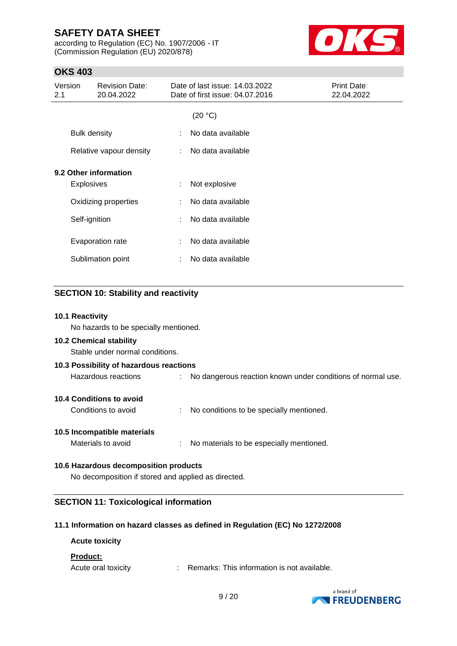according to Regulation (EC) No. 1907/2006 - IT (Commission Regulation (EU) 2020/878)



## **OKS 403**

| Version<br>2.1        | <b>Revision Date:</b><br>20.04.2022 |   | Date of last issue: 14.03.2022<br>Date of first issue: 04.07.2016 | Print Date:<br>22.04.2022 |
|-----------------------|-------------------------------------|---|-------------------------------------------------------------------|---------------------------|
|                       |                                     |   | (20 °C)                                                           |                           |
| <b>Bulk density</b>   |                                     | ÷ | No data available                                                 |                           |
|                       | Relative vapour density             | ÷ | No data available                                                 |                           |
| 9.2 Other information |                                     |   |                                                                   |                           |
| <b>Explosives</b>     |                                     | ÷ | Not explosive                                                     |                           |
|                       | Oxidizing properties                | ÷ | No data available                                                 |                           |
| Self-ignition         |                                     | ÷ | No data available                                                 |                           |
|                       | Evaporation rate                    | ÷ | No data available                                                 |                           |
|                       | Sublimation point                   | ÷ | No data available                                                 |                           |

### **SECTION 10: Stability and reactivity**

#### **10.1 Reactivity**

No hazards to be specially mentioned.

#### **10.2 Chemical stability**

Stable under normal conditions.

| 10.3 Possibility of hazardous reactions |  |                                                               |  |  |
|-----------------------------------------|--|---------------------------------------------------------------|--|--|
| Hazardous reactions                     |  | : No dangerous reaction known under conditions of normal use. |  |  |
|                                         |  |                                                               |  |  |

**10.4 Conditions to avoid**

Conditions to avoid : No conditions to be specially mentioned.

#### **10.5 Incompatible materials**

Materials to avoid : No materials to be especially mentioned.

### **10.6 Hazardous decomposition products**

No decomposition if stored and applied as directed.

### **SECTION 11: Toxicological information**

#### **11.1 Information on hazard classes as defined in Regulation (EC) No 1272/2008**

### **Acute toxicity**

#### **Product:**

Acute oral toxicity : Remarks: This information is not available.

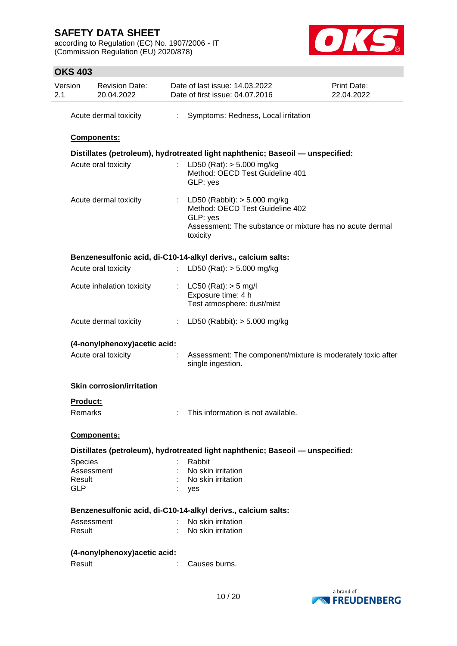according to Regulation (EC) No. 1907/2006 - IT (Commission Regulation (EU) 2020/878)



|                                                                                | Acute dermal toxicity            | ÷. | Symptoms: Redness, Local irritation                                                                                                                     |  |  |
|--------------------------------------------------------------------------------|----------------------------------|----|---------------------------------------------------------------------------------------------------------------------------------------------------------|--|--|
|                                                                                | Components:                      |    |                                                                                                                                                         |  |  |
| Distillates (petroleum), hydrotreated light naphthenic; Baseoil - unspecified: |                                  |    |                                                                                                                                                         |  |  |
|                                                                                | Acute oral toxicity              |    | LD50 (Rat): $> 5.000$ mg/kg<br>Method: OECD Test Guideline 401<br>GLP: yes                                                                              |  |  |
|                                                                                | Acute dermal toxicity            |    | : LD50 (Rabbit): $> 5.000$ mg/kg<br>Method: OECD Test Guideline 402<br>GLP: yes<br>Assessment: The substance or mixture has no acute dermal<br>toxicity |  |  |
|                                                                                |                                  |    | Benzenesulfonic acid, di-C10-14-alkyl derivs., calcium salts:                                                                                           |  |  |
|                                                                                | Acute oral toxicity              |    | : LD50 (Rat): $> 5.000$ mg/kg                                                                                                                           |  |  |
|                                                                                | Acute inhalation toxicity        |    | : LC50 (Rat): $>$ 5 mg/l<br>Exposure time: 4 h<br>Test atmosphere: dust/mist                                                                            |  |  |
|                                                                                | Acute dermal toxicity            |    | : LD50 (Rabbit): $> 5.000$ mg/kg                                                                                                                        |  |  |
|                                                                                | (4-nonylphenoxy) acetic acid:    |    |                                                                                                                                                         |  |  |
|                                                                                | Acute oral toxicity              | t, | Assessment: The component/mixture is moderately toxic after<br>single ingestion.                                                                        |  |  |
|                                                                                | <b>Skin corrosion/irritation</b> |    |                                                                                                                                                         |  |  |
| Product:                                                                       |                                  |    |                                                                                                                                                         |  |  |
| Remarks                                                                        |                                  |    | This information is not available.                                                                                                                      |  |  |
|                                                                                | <b>Components:</b>               |    |                                                                                                                                                         |  |  |
|                                                                                |                                  |    | Distillates (petroleum), hydrotreated light naphthenic; Baseoil - unspecified:                                                                          |  |  |
| <b>Species</b>                                                                 |                                  |    | Rabbit                                                                                                                                                  |  |  |
| Assessment                                                                     |                                  |    | No skin irritation                                                                                                                                      |  |  |
| Result                                                                         |                                  |    | No skin irritation                                                                                                                                      |  |  |
| <b>GLP</b>                                                                     |                                  |    | yes                                                                                                                                                     |  |  |
|                                                                                |                                  |    | Benzenesulfonic acid, di-C10-14-alkyl derivs., calcium salts:                                                                                           |  |  |
| Assessment                                                                     |                                  |    | No skin irritation                                                                                                                                      |  |  |
| Result                                                                         |                                  |    | No skin irritation                                                                                                                                      |  |  |
|                                                                                | (4-nonylphenoxy) acetic acid:    |    |                                                                                                                                                         |  |  |
| Result                                                                         |                                  | ÷. | Causes burns.                                                                                                                                           |  |  |

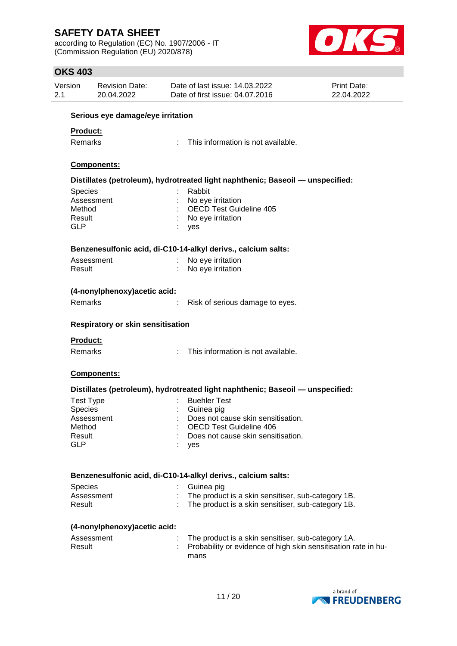according to Regulation (EC) No. 1907/2006 - IT (Commission Regulation (EU) 2020/878)



| UNJ 4UJ                       |                                          |  |                                                                                |                           |  |  |  |  |  |
|-------------------------------|------------------------------------------|--|--------------------------------------------------------------------------------|---------------------------|--|--|--|--|--|
| Version<br>2.1                | <b>Revision Date:</b><br>20.04.2022      |  | Date of last issue: 14.03.2022<br>Date of first issue: 04.07.2016              | Print Date:<br>22.04.2022 |  |  |  |  |  |
|                               |                                          |  |                                                                                |                           |  |  |  |  |  |
|                               | Serious eye damage/eye irritation        |  |                                                                                |                           |  |  |  |  |  |
| Product:                      |                                          |  |                                                                                |                           |  |  |  |  |  |
| Remarks                       |                                          |  | This information is not available.                                             |                           |  |  |  |  |  |
|                               |                                          |  |                                                                                |                           |  |  |  |  |  |
|                               | Components:                              |  |                                                                                |                           |  |  |  |  |  |
|                               |                                          |  | Distillates (petroleum), hydrotreated light naphthenic; Baseoil - unspecified: |                           |  |  |  |  |  |
| Species                       |                                          |  | Rabbit                                                                         |                           |  |  |  |  |  |
|                               | Assessment                               |  | No eye irritation                                                              |                           |  |  |  |  |  |
| Method                        |                                          |  | <b>OECD Test Guideline 405</b>                                                 |                           |  |  |  |  |  |
| Result                        |                                          |  | No eye irritation                                                              |                           |  |  |  |  |  |
| <b>GLP</b>                    |                                          |  | yes                                                                            |                           |  |  |  |  |  |
|                               |                                          |  | Benzenesulfonic acid, di-C10-14-alkyl derivs., calcium salts:                  |                           |  |  |  |  |  |
|                               | Assessment                               |  | No eye irritation                                                              |                           |  |  |  |  |  |
| Result                        |                                          |  | No eye irritation                                                              |                           |  |  |  |  |  |
|                               |                                          |  |                                                                                |                           |  |  |  |  |  |
| (4-nonylphenoxy) acetic acid: |                                          |  |                                                                                |                           |  |  |  |  |  |
| Remarks                       |                                          |  | Risk of serious damage to eyes.                                                |                           |  |  |  |  |  |
|                               | <b>Respiratory or skin sensitisation</b> |  |                                                                                |                           |  |  |  |  |  |
| <b>Product:</b>               |                                          |  |                                                                                |                           |  |  |  |  |  |
| Remarks                       |                                          |  | This information is not available.                                             |                           |  |  |  |  |  |
|                               | Components:                              |  |                                                                                |                           |  |  |  |  |  |
|                               |                                          |  | Distillates (petroleum), hydrotreated light naphthenic; Baseoil - unspecified: |                           |  |  |  |  |  |
| <b>Test Type</b>              |                                          |  | <b>Buehler Test</b>                                                            |                           |  |  |  |  |  |
| Species                       |                                          |  | Guinea pig                                                                     |                           |  |  |  |  |  |
|                               | Assessment                               |  | Does not cause skin sensitisation.                                             |                           |  |  |  |  |  |
| Method                        |                                          |  | <b>OECD Test Guideline 406</b>                                                 |                           |  |  |  |  |  |
| Result                        |                                          |  | Does not cause skin sensitisation.                                             |                           |  |  |  |  |  |
| <b>GLP</b>                    |                                          |  | yes                                                                            |                           |  |  |  |  |  |
|                               |                                          |  | Benzenesulfonic acid, di-C10-14-alkyl derivs., calcium salts:                  |                           |  |  |  |  |  |
| <b>Species</b>                |                                          |  | Guinea pig                                                                     |                           |  |  |  |  |  |
|                               | Assessment                               |  | The product is a skin sensitiser, sub-category 1B.                             |                           |  |  |  |  |  |
| Result                        |                                          |  | The product is a skin sensitiser, sub-category 1B.                             |                           |  |  |  |  |  |
|                               | (4-nonylphenoxy) acetic acid:            |  |                                                                                |                           |  |  |  |  |  |
|                               | Assessment                               |  | The product is a skin sensitiser, sub-category 1A.                             |                           |  |  |  |  |  |
| Result                        |                                          |  | Probability or evidence of high skin sensitisation rate in hu-                 |                           |  |  |  |  |  |
|                               |                                          |  | mans                                                                           |                           |  |  |  |  |  |
|                               |                                          |  |                                                                                |                           |  |  |  |  |  |

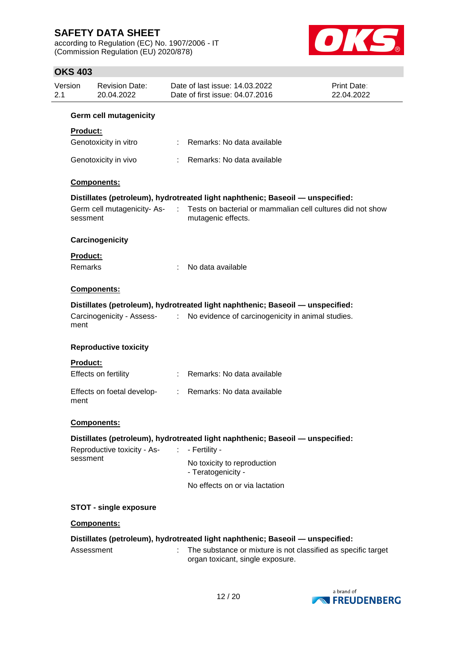according to Regulation (EC) No. 1907/2006 - IT (Commission Regulation (EU) 2020/878)



| Version<br>2.1 | <b>Revision Date:</b><br>20.04.2022    |                              | Date of last issue: 14.03.2022<br>Date of first issue: 04.07.2016                                 | <b>Print Date:</b><br>22.04.2022 |
|----------------|----------------------------------------|------------------------------|---------------------------------------------------------------------------------------------------|----------------------------------|
|                | <b>Germ cell mutagenicity</b>          |                              |                                                                                                   |                                  |
|                | <b>Product:</b>                        |                              |                                                                                                   |                                  |
|                | Genotoxicity in vitro                  |                              | Remarks: No data available                                                                        |                                  |
|                | Genotoxicity in vivo                   |                              | Remarks: No data available                                                                        |                                  |
|                | Components:                            |                              |                                                                                                   |                                  |
|                |                                        |                              | Distillates (petroleum), hydrotreated light naphthenic; Baseoil - unspecified:                    |                                  |
|                | Germ cell mutagenicity-As-<br>sessment | $\sim 100$                   | Tests on bacterial or mammalian cell cultures did not show<br>mutagenic effects.                  |                                  |
|                | Carcinogenicity                        |                              |                                                                                                   |                                  |
|                | <b>Product:</b>                        |                              |                                                                                                   |                                  |
|                | <b>Remarks</b>                         |                              | No data available                                                                                 |                                  |
|                | <b>Components:</b>                     |                              |                                                                                                   |                                  |
|                |                                        |                              | Distillates (petroleum), hydrotreated light naphthenic; Baseoil - unspecified:                    |                                  |
|                | Carcinogenicity - Assess- :<br>ment    |                              | No evidence of carcinogenicity in animal studies.                                                 |                                  |
|                | <b>Reproductive toxicity</b>           |                              |                                                                                                   |                                  |
|                | Product:                               |                              |                                                                                                   |                                  |
|                | Effects on fertility                   | $\mathbb{R}^{\mathbb{Z}}$    | Remarks: No data available                                                                        |                                  |
|                | Effects on foetal develop-<br>ment     | $\mathbb{R}^n$               | Remarks: No data available                                                                        |                                  |
|                | Components:                            |                              |                                                                                                   |                                  |
|                |                                        |                              | Distillates (petroleum), hydrotreated light naphthenic; Baseoil - unspecified:                    |                                  |
|                | Reproductive toxicity - As-            | $\mathcal{L}_{\mathrm{eff}}$ | - Fertility -                                                                                     |                                  |
|                | sessment                               |                              | No toxicity to reproduction<br>- Teratogenicity -                                                 |                                  |
|                |                                        |                              | No effects on or via lactation                                                                    |                                  |
|                | <b>STOT - single exposure</b>          |                              |                                                                                                   |                                  |
|                | <b>Components:</b>                     |                              |                                                                                                   |                                  |
|                |                                        |                              | Distillates (petroleum), hydrotreated light naphthenic; Baseoil - unspecified:                    |                                  |
|                | Assessment                             | ÷.                           | The substance or mixture is not classified as specific target<br>organ toxicant, single exposure. |                                  |
|                |                                        |                              |                                                                                                   |                                  |

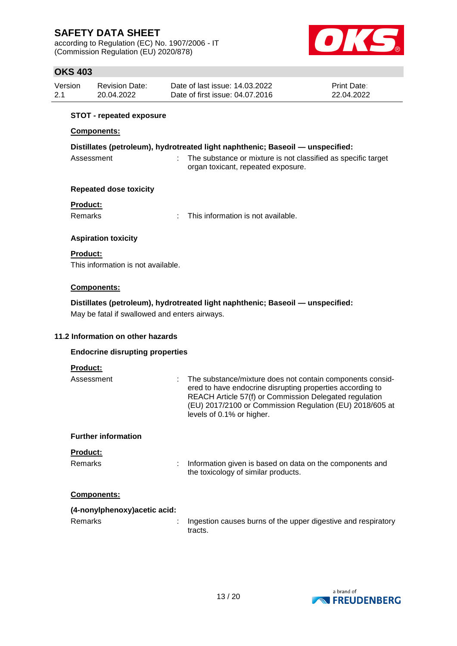according to Regulation (EC) No. 1907/2006 - IT (Commission Regulation (EU) 2020/878)



## **OKS 403**

| Version | <b>Revision Date:</b> | Date of last issue: 14.03.2022  | <b>Print Date:</b> |
|---------|-----------------------|---------------------------------|--------------------|
| 2.1     | 20.04.2022            | Date of first issue: 04.07.2016 | 22.04.2022         |

#### **STOT - repeated exposure**

#### **Components:**

|            | Distillates (petroleum), hydrotreated light naphthenic; Baseoil — unspecified: |
|------------|--------------------------------------------------------------------------------|
| Assessment | The substance or mixture is not classified as specific target                  |

#### **Repeated dose toxicity**

### **Product:**

Remarks : This information is not available.

organ toxicant, repeated exposure.

### **Aspiration toxicity**

#### **Product:**

This information is not available.

### **Components:**

**Distillates (petroleum), hydrotreated light naphthenic; Baseoil — unspecified:**

May be fatal if swallowed and enters airways.

### **11.2 Information on other hazards**

#### **Endocrine disrupting properties**

#### **Product:**

| Assessment                 | The substance/mixture does not contain components consid-<br>ered to have endocrine disrupting properties according to<br>REACH Article 57(f) or Commission Delegated regulation<br>(EU) 2017/2100 or Commission Regulation (EU) 2018/605 at<br>levels of 0.1% or higher. |
|----------------------------|---------------------------------------------------------------------------------------------------------------------------------------------------------------------------------------------------------------------------------------------------------------------------|
| <b>Further information</b> |                                                                                                                                                                                                                                                                           |
| <b>Product:</b>            |                                                                                                                                                                                                                                                                           |
| <b>Remarks</b>             | Information given is based on data on the components and<br>the toxicology of similar products.                                                                                                                                                                           |

#### **Components:**

| (4-nonylphenoxy) acetic acid: |  |
|-------------------------------|--|
|                               |  |

Remarks : Ingestion causes burns of the upper digestive and respiratory tracts.

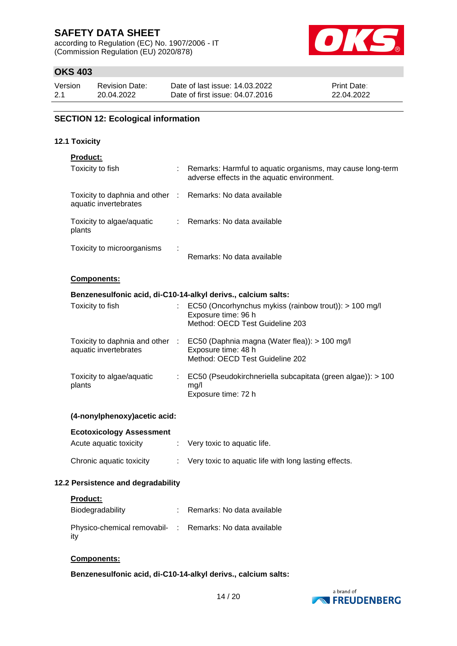according to Regulation (EC) No. 1907/2006 - IT (Commission Regulation (EU) 2020/878)



## **OKS 403**

| Version | <b>Revision Date:</b> | Date of last issue: 14.03.2022  | <b>Print Date:</b> |
|---------|-----------------------|---------------------------------|--------------------|
| 2.1     | 20.04.2022            | Date of first issue: 04.07.2016 | 22.04.2022         |

### **SECTION 12: Ecological information**

#### **12.1 Toxicity**

| <b>Product:</b>                                                                     |  |                                                                                                                                         |  |  |  |  |  |
|-------------------------------------------------------------------------------------|--|-----------------------------------------------------------------------------------------------------------------------------------------|--|--|--|--|--|
| Toxicity to fish                                                                    |  | Remarks: Harmful to aquatic organisms, may cause long-term<br>adverse effects in the aquatic environment.                               |  |  |  |  |  |
| Toxicity to daphnia and other : Remarks: No data available<br>aquatic invertebrates |  |                                                                                                                                         |  |  |  |  |  |
| Toxicity to algae/aquatic<br>plants                                                 |  | : Remarks: No data available                                                                                                            |  |  |  |  |  |
| Toxicity to microorganisms                                                          |  | Remarks: No data available                                                                                                              |  |  |  |  |  |
| Components:                                                                         |  |                                                                                                                                         |  |  |  |  |  |
|                                                                                     |  | Benzenesulfonic acid, di-C10-14-alkyl derivs., calcium salts:                                                                           |  |  |  |  |  |
| Toxicity to fish                                                                    |  | EC50 (Oncorhynchus mykiss (rainbow trout)): > 100 mg/l<br>Exposure time: 96 h<br>Method: OECD Test Guideline 203                        |  |  |  |  |  |
| aquatic invertebrates                                                               |  | Toxicity to daphnia and other : EC50 (Daphnia magna (Water flea)): > 100 mg/l<br>Exposure time: 48 h<br>Method: OECD Test Guideline 202 |  |  |  |  |  |
| Toxicity to algae/aquatic<br>plants                                                 |  | EC50 (Pseudokirchneriella subcapitata (green algae)): > 100<br>mg/l<br>Exposure time: 72 h                                              |  |  |  |  |  |
| (4-nonylphenoxy) acetic acid:                                                       |  |                                                                                                                                         |  |  |  |  |  |
| <b>Ecotoxicology Assessment</b>                                                     |  |                                                                                                                                         |  |  |  |  |  |
| Acute aquatic toxicity                                                              |  | Very toxic to aquatic life.                                                                                                             |  |  |  |  |  |
| Chronic aquatic toxicity                                                            |  | Very toxic to aquatic life with long lasting effects.                                                                                   |  |  |  |  |  |

## **12.2 Persistence and degradability**

|  | Product: |  |  |
|--|----------|--|--|
|  |          |  |  |

| Biodegradability                                                | Remarks: No data available |
|-----------------------------------------------------------------|----------------------------|
| Physico-chemical removabil- : Remarks: No data available<br>ity |                            |

### **Components:**

**Benzenesulfonic acid, di-C10-14-alkyl derivs., calcium salts:**

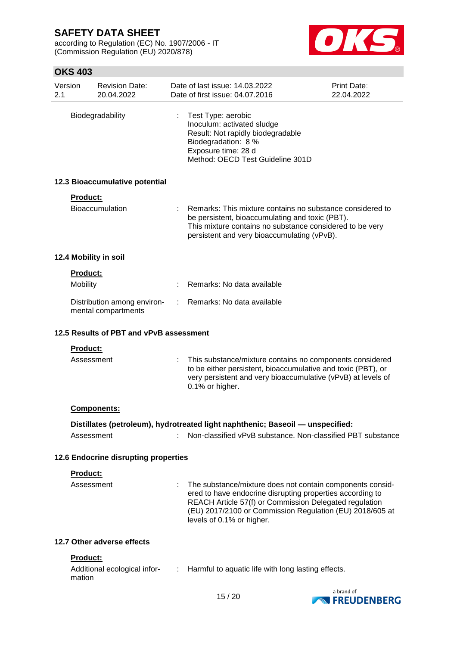according to Regulation (EC) No. 1907/2006 - IT (Commission Regulation (EU) 2020/878)



| Version<br>2.1 |                             | <b>Revision Date:</b><br>20.04.2022                |    | Date of last issue: 14.03.2022<br>Date of first issue: 04.07.2016                                                                                                                                                                                                         | <b>Print Date:</b><br>22.04.2022 |
|----------------|-----------------------------|----------------------------------------------------|----|---------------------------------------------------------------------------------------------------------------------------------------------------------------------------------------------------------------------------------------------------------------------------|----------------------------------|
|                |                             | Biodegradability                                   |    | Test Type: aerobic<br>Inoculum: activated sludge<br>Result: Not rapidly biodegradable<br>Biodegradation: 8 %<br>Exposure time: 28 d<br>Method: OECD Test Guideline 301D                                                                                                   |                                  |
|                |                             | 12.3 Bioaccumulative potential                     |    |                                                                                                                                                                                                                                                                           |                                  |
|                | <b>Product:</b>             | <b>Bioaccumulation</b>                             |    | Remarks: This mixture contains no substance considered to<br>be persistent, bioaccumulating and toxic (PBT).<br>This mixture contains no substance considered to be very<br>persistent and very bioaccumulating (vPvB).                                                   |                                  |
|                |                             | 12.4 Mobility in soil                              |    |                                                                                                                                                                                                                                                                           |                                  |
|                | <b>Product:</b><br>Mobility |                                                    |    | Remarks: No data available                                                                                                                                                                                                                                                |                                  |
|                |                             | Distribution among environ-<br>mental compartments | ÷. | Remarks: No data available                                                                                                                                                                                                                                                |                                  |
|                |                             | 12.5 Results of PBT and vPvB assessment            |    |                                                                                                                                                                                                                                                                           |                                  |
|                | <b>Product:</b>             |                                                    |    |                                                                                                                                                                                                                                                                           |                                  |
|                | Assessment                  |                                                    | ÷  | This substance/mixture contains no components considered<br>to be either persistent, bioaccumulative and toxic (PBT), or<br>very persistent and very bioaccumulative (vPvB) at levels of<br>0.1% or higher.                                                               |                                  |
|                |                             | <b>Components:</b>                                 |    |                                                                                                                                                                                                                                                                           |                                  |
|                |                             |                                                    |    | Distillates (petroleum), hydrotreated light naphthenic; Baseoil - unspecified:                                                                                                                                                                                            |                                  |
|                | Assessment                  |                                                    |    | Non-classified vPvB substance. Non-classified PBT substance                                                                                                                                                                                                               |                                  |
|                |                             | 12.6 Endocrine disrupting properties               |    |                                                                                                                                                                                                                                                                           |                                  |
|                | Product:                    |                                                    |    |                                                                                                                                                                                                                                                                           |                                  |
|                | Assessment                  |                                                    |    | The substance/mixture does not contain components consid-<br>ered to have endocrine disrupting properties according to<br>REACH Article 57(f) or Commission Delegated regulation<br>(EU) 2017/2100 or Commission Regulation (EU) 2018/605 at<br>levels of 0.1% or higher. |                                  |
|                |                             | 12.7 Other adverse effects                         |    |                                                                                                                                                                                                                                                                           |                                  |
|                | Product:                    |                                                    |    |                                                                                                                                                                                                                                                                           |                                  |
|                | mation                      | Additional ecological infor-                       | ÷  | Harmful to aquatic life with long lasting effects.                                                                                                                                                                                                                        |                                  |
|                |                             |                                                    |    |                                                                                                                                                                                                                                                                           | a brand of                       |

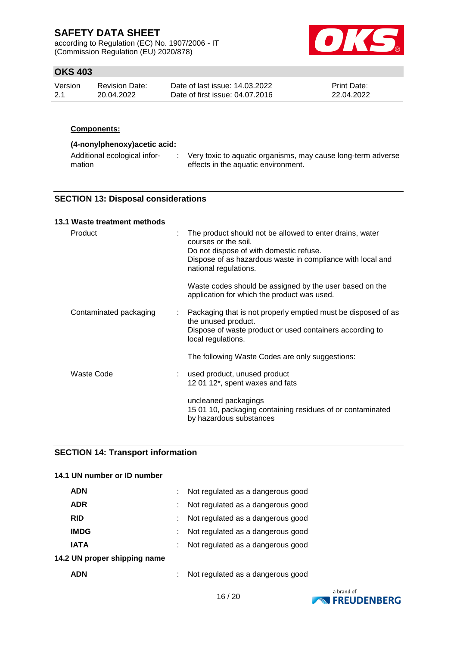according to Regulation (EC) No. 1907/2006 - IT (Commission Regulation (EU) 2020/878)



## **OKS 403**

| Version | <b>Revision Date:</b> | Date of last issue: 14.03.2022  | <b>Print Date:</b> |
|---------|-----------------------|---------------------------------|--------------------|
| 2.1     | 20.04.2022            | Date of first issue: 04.07.2016 | 22.04.2022         |

#### **Components:**

## **(4-nonylphenoxy)acetic acid:**

| Additional ecological infor-<br>mation |  | Very toxic to aquatic organisms, may cause long-term adverse<br>effects in the aquatic environment. |
|----------------------------------------|--|-----------------------------------------------------------------------------------------------------|
|----------------------------------------|--|-----------------------------------------------------------------------------------------------------|

### **SECTION 13: Disposal considerations**

#### **13.1 Waste treatment methods**

| Product                | The product should not be allowed to enter drains, water<br>courses or the soil.<br>Do not dispose of with domestic refuse.<br>Dispose of as hazardous waste in compliance with local and<br>national regulations. |
|------------------------|--------------------------------------------------------------------------------------------------------------------------------------------------------------------------------------------------------------------|
|                        | Waste codes should be assigned by the user based on the<br>application for which the product was used.                                                                                                             |
| Contaminated packaging | Packaging that is not properly emptied must be disposed of as<br>÷.<br>the unused product.<br>Dispose of waste product or used containers according to<br>local regulations.                                       |
|                        | The following Waste Codes are only suggestions:                                                                                                                                                                    |
| Waste Code             | : used product, unused product<br>12 01 12*, spent waxes and fats                                                                                                                                                  |
|                        | uncleaned packagings<br>15 01 10, packaging containing residues of or contaminated<br>by hazardous substances                                                                                                      |

## **SECTION 14: Transport information**

## **14.1 UN number or ID number**

| <b>ADN</b>                   | Not regulated as a dangerous good |
|------------------------------|-----------------------------------|
| <b>ADR</b>                   | Not regulated as a dangerous good |
| <b>RID</b>                   | Not regulated as a dangerous good |
| <b>IMDG</b>                  | Not regulated as a dangerous good |
| <b>IATA</b>                  | Not regulated as a dangerous good |
| 14.2 UN proper shipping name |                                   |
| <b>ADN</b>                   | Not regulated as a dangerous good |

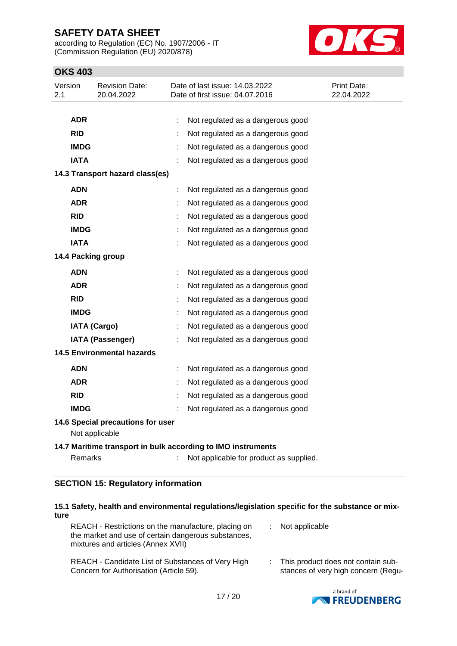according to Regulation (EC) No. 1907/2006 - IT (Commission Regulation (EU) 2020/878)



## **OKS 403**

| Version<br>2.1 | <b>Revision Date:</b><br>20.04.2022                 |   | Date of last issue: 14.03.2022<br>Date of first issue: 04.07.2016 | Print Date:<br>22.04.2022 |
|----------------|-----------------------------------------------------|---|-------------------------------------------------------------------|---------------------------|
|                |                                                     |   |                                                                   |                           |
|                | <b>ADR</b>                                          |   | Not regulated as a dangerous good                                 |                           |
| <b>RID</b>     |                                                     |   | Not regulated as a dangerous good                                 |                           |
|                | <b>IMDG</b>                                         |   | Not regulated as a dangerous good                                 |                           |
|                | <b>IATA</b>                                         | ÷ | Not regulated as a dangerous good                                 |                           |
|                | 14.3 Transport hazard class(es)                     |   |                                                                   |                           |
|                | <b>ADN</b>                                          | ÷ | Not regulated as a dangerous good                                 |                           |
|                | <b>ADR</b>                                          |   | Not regulated as a dangerous good                                 |                           |
| <b>RID</b>     |                                                     |   | Not regulated as a dangerous good                                 |                           |
|                | <b>IMDG</b>                                         |   | Not regulated as a dangerous good                                 |                           |
|                | <b>IATA</b>                                         |   | Not regulated as a dangerous good                                 |                           |
|                | 14.4 Packing group                                  |   |                                                                   |                           |
|                | <b>ADN</b>                                          | ÷ | Not regulated as a dangerous good                                 |                           |
|                | <b>ADR</b>                                          |   | Not regulated as a dangerous good                                 |                           |
| <b>RID</b>     |                                                     |   | Not regulated as a dangerous good                                 |                           |
|                | <b>IMDG</b>                                         |   | Not regulated as a dangerous good                                 |                           |
|                | <b>IATA (Cargo)</b>                                 |   | Not regulated as a dangerous good                                 |                           |
|                | <b>IATA (Passenger)</b>                             |   | Not regulated as a dangerous good                                 |                           |
|                | <b>14.5 Environmental hazards</b>                   |   |                                                                   |                           |
|                | <b>ADN</b>                                          |   | Not regulated as a dangerous good                                 |                           |
|                | <b>ADR</b>                                          |   | Not regulated as a dangerous good                                 |                           |
| <b>RID</b>     |                                                     |   | Not regulated as a dangerous good                                 |                           |
|                | <b>IMDG</b>                                         |   | Not regulated as a dangerous good                                 |                           |
|                | 14.6 Special precautions for user<br>Not applicable |   |                                                                   |                           |
|                |                                                     |   | 14.7 Maritime transport in bulk according to IMO instruments      |                           |
|                | Remarks                                             |   | Not applicable for product as supplied.                           |                           |

## **SECTION 15: Regulatory information**

| ture | 15.1 Safety, health and environmental regulations/legislation specific for the substance or mix-                                                 |                                                                           |
|------|--------------------------------------------------------------------------------------------------------------------------------------------------|---------------------------------------------------------------------------|
|      | REACH - Restrictions on the manufacture, placing on<br>the market and use of certain dangerous substances,<br>mixtures and articles (Annex XVII) | Not applicable                                                            |
|      | REACH - Candidate List of Substances of Very High<br>Concern for Authorisation (Article 59).                                                     | This product does not contain sub-<br>stances of very high concern (Regu- |

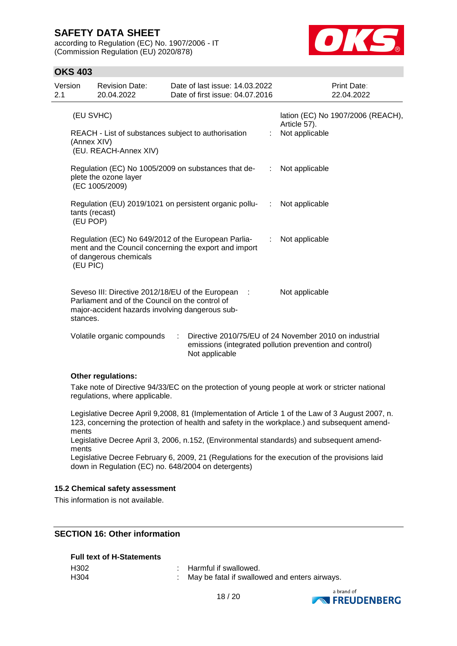according to Regulation (EC) No. 1907/2006 - IT (Commission Regulation (EU) 2020/878)



## **OKS 403**

| Version<br>2.1 |                            | <b>Revision Date:</b><br>20.04.2022                                                                                                                      |   | Date of last issue: 14.03.2022<br>Date of first issue: 04.07.2016                                                                   |                             |                                | Print Date:<br>22.04.2022         |
|----------------|----------------------------|----------------------------------------------------------------------------------------------------------------------------------------------------------|---|-------------------------------------------------------------------------------------------------------------------------------------|-----------------------------|--------------------------------|-----------------------------------|
|                | (EU SVHC)<br>(Annex XIV)   | REACH - List of substances subject to authorisation<br>(EU. REACH-Annex XIV)                                                                             |   |                                                                                                                                     |                             | Article 57).<br>Not applicable | lation (EC) No 1907/2006 (REACH), |
|                |                            | plete the ozone layer<br>(EC 1005/2009)                                                                                                                  |   | Regulation (EC) No 1005/2009 on substances that de-                                                                                 | $\mathcal{L}^{\mathcal{L}}$ | Not applicable                 |                                   |
|                | tants (recast)<br>(EU POP) |                                                                                                                                                          |   | Regulation (EU) 2019/1021 on persistent organic pollu-                                                                              | ÷                           | Not applicable                 |                                   |
|                | (EU PIC)                   | Regulation (EC) No 649/2012 of the European Parlia-<br>of dangerous chemicals                                                                            |   | ment and the Council concerning the export and import                                                                               | ÷                           | Not applicable                 |                                   |
|                | stances.                   | Seveso III: Directive 2012/18/EU of the European :<br>Parliament and of the Council on the control of<br>major-accident hazards involving dangerous sub- |   |                                                                                                                                     |                             | Not applicable                 |                                   |
|                |                            | Volatile organic compounds                                                                                                                               | ÷ | Directive 2010/75/EU of 24 November 2010 on industrial<br>emissions (integrated pollution prevention and control)<br>Not applicable |                             |                                |                                   |

#### **Other regulations:**

Take note of Directive 94/33/EC on the protection of young people at work or stricter national regulations, where applicable.

Legislative Decree April 9,2008, 81 (Implementation of Article 1 of the Law of 3 August 2007, n. 123, concerning the protection of health and safety in the workplace.) and subsequent amendments

Legislative Decree April 3, 2006, n.152, (Environmental standards) and subsequent amendments

Legislative Decree February 6, 2009, 21 (Regulations for the execution of the provisions laid down in Regulation (EC) no. 648/2004 on detergents)

#### **15.2 Chemical safety assessment**

This information is not available.

## **SECTION 16: Other information**

#### **Full text of H-Statements**

| H302 | : Harmful if swallowed.                       |  |
|------|-----------------------------------------------|--|
| H304 | May be fatal if swallowed and enters airways. |  |

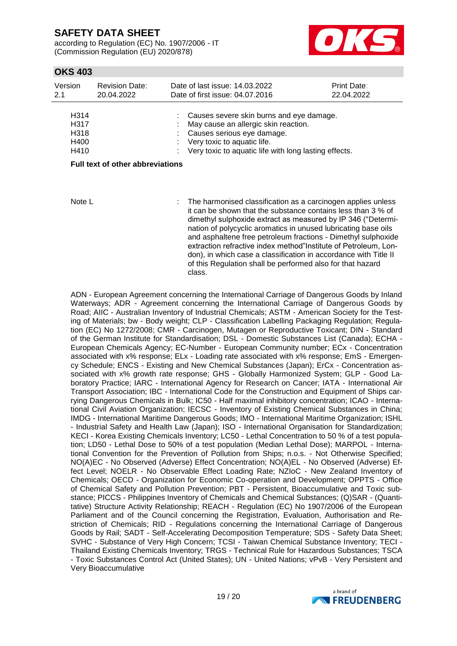according to Regulation (EC) No. 1907/2006 - IT (Commission Regulation (EU) 2020/878)



## **OKS 403**

| Version<br>2.1                       | <b>Revision Date:</b><br>20.04.2022     | Date of last issue: 14.03.2022<br>Date of first issue: 04.07.2016                                                                                                                                                | <b>Print Date:</b><br>22.04.2022 |
|--------------------------------------|-----------------------------------------|------------------------------------------------------------------------------------------------------------------------------------------------------------------------------------------------------------------|----------------------------------|
| H314<br>H317<br>H318<br>H400<br>H410 |                                         | : Causes severe skin burns and eye damage.<br>: May cause an allergic skin reaction.<br>: Causes serious eye damage.<br>: Very toxic to aquatic life.<br>: Very toxic to aquatic life with long lasting effects. |                                  |
|                                      | <b>Full text of other abbreviations</b> |                                                                                                                                                                                                                  |                                  |

Note L **integral in the harmonised classification as a carcinogen applies unless** it can be shown that the substance contains less than 3 % of dimethyl sulphoxide extract as measured by IP 346 ("Determination of polycyclic aromatics in unused lubricating base oils and asphaltene free petroleum fractions - Dimethyl sulphoxide extraction refractive index method"Institute of Petroleum, London), in which case a classification in accordance with Title II of this Regulation shall be performed also for that hazard class.

ADN - European Agreement concerning the International Carriage of Dangerous Goods by Inland Waterways; ADR - Agreement concerning the International Carriage of Dangerous Goods by Road; AIIC - Australian Inventory of Industrial Chemicals; ASTM - American Society for the Testing of Materials; bw - Body weight; CLP - Classification Labelling Packaging Regulation; Regulation (EC) No 1272/2008; CMR - Carcinogen, Mutagen or Reproductive Toxicant; DIN - Standard of the German Institute for Standardisation; DSL - Domestic Substances List (Canada); ECHA - European Chemicals Agency; EC-Number - European Community number; ECx - Concentration associated with x% response; ELx - Loading rate associated with x% response; EmS - Emergency Schedule; ENCS - Existing and New Chemical Substances (Japan); ErCx - Concentration associated with x% growth rate response; GHS - Globally Harmonized System; GLP - Good Laboratory Practice; IARC - International Agency for Research on Cancer; IATA - International Air Transport Association; IBC - International Code for the Construction and Equipment of Ships carrying Dangerous Chemicals in Bulk; IC50 - Half maximal inhibitory concentration; ICAO - International Civil Aviation Organization; IECSC - Inventory of Existing Chemical Substances in China; IMDG - International Maritime Dangerous Goods; IMO - International Maritime Organization; ISHL - Industrial Safety and Health Law (Japan); ISO - International Organisation for Standardization; KECI - Korea Existing Chemicals Inventory; LC50 - Lethal Concentration to 50 % of a test population; LD50 - Lethal Dose to 50% of a test population (Median Lethal Dose); MARPOL - International Convention for the Prevention of Pollution from Ships; n.o.s. - Not Otherwise Specified; NO(A)EC - No Observed (Adverse) Effect Concentration; NO(A)EL - No Observed (Adverse) Effect Level; NOELR - No Observable Effect Loading Rate; NZIoC - New Zealand Inventory of Chemicals; OECD - Organization for Economic Co-operation and Development; OPPTS - Office of Chemical Safety and Pollution Prevention; PBT - Persistent, Bioaccumulative and Toxic substance; PICCS - Philippines Inventory of Chemicals and Chemical Substances; (Q)SAR - (Quantitative) Structure Activity Relationship; REACH - Regulation (EC) No 1907/2006 of the European Parliament and of the Council concerning the Registration, Evaluation, Authorisation and Restriction of Chemicals; RID - Regulations concerning the International Carriage of Dangerous Goods by Rail; SADT - Self-Accelerating Decomposition Temperature; SDS - Safety Data Sheet; SVHC - Substance of Very High Concern; TCSI - Taiwan Chemical Substance Inventory; TECI - Thailand Existing Chemicals Inventory; TRGS - Technical Rule for Hazardous Substances; TSCA - Toxic Substances Control Act (United States); UN - United Nations; vPvB - Very Persistent and Very Bioaccumulative